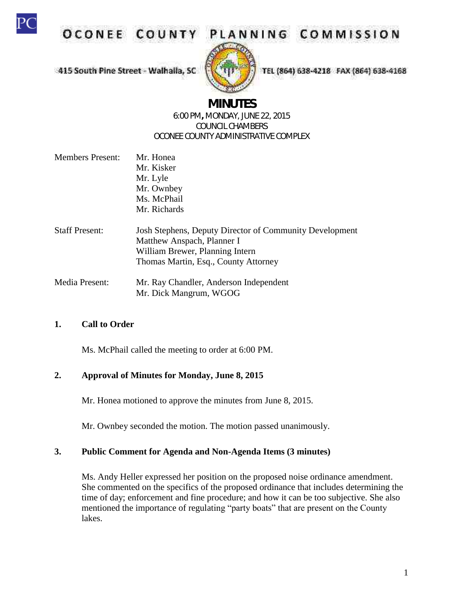

OCONEE COUNT

# PLANNING COMMISSION

415 South Pine Street - Walhaila, SC



TEL (864) 638-4218 FAX (864) 638-4168

# **MINUTES**

#### 6:00 PM**,** MONDAY, JUNE 22, 2015 COUNCIL CHAMBERS OCONEE COUNTY ADMINISTRATIVE COMPLEX

- Members Present: Mr. Honea Mr. Kisker Mr. Lyle Mr. Ownbey Ms. McPhail Mr. Richards
- Staff Present: Josh Stephens, Deputy Director of Community Development Matthew Anspach, Planner I William Brewer, Planning Intern Thomas Martin, Esq., County Attorney
- Media Present: Mr. Ray Chandler, Anderson Independent Mr. Dick Mangrum, WGOG

## **1. Call to Order**

Ms. McPhail called the meeting to order at 6:00 PM.

#### **2. Approval of Minutes for Monday, June 8, 2015**

Mr. Honea motioned to approve the minutes from June 8, 2015.

Mr. Ownbey seconded the motion. The motion passed unanimously.

#### **3. Public Comment for Agenda and Non-Agenda Items (3 minutes)**

Ms. Andy Heller expressed her position on the proposed noise ordinance amendment. She commented on the specifics of the proposed ordinance that includes determining the time of day; enforcement and fine procedure; and how it can be too subjective. She also mentioned the importance of regulating "party boats" that are present on the County lakes.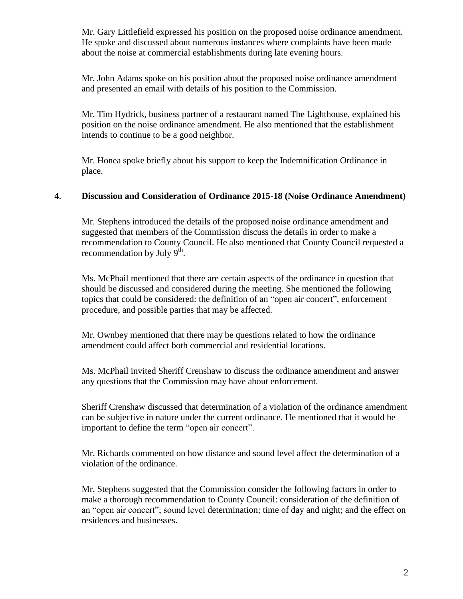Mr. Gary Littlefield expressed his position on the proposed noise ordinance amendment. He spoke and discussed about numerous instances where complaints have been made about the noise at commercial establishments during late evening hours.

Mr. John Adams spoke on his position about the proposed noise ordinance amendment and presented an email with details of his position to the Commission.

Mr. Tim Hydrick, business partner of a restaurant named The Lighthouse, explained his position on the noise ordinance amendment. He also mentioned that the establishment intends to continue to be a good neighbor.

Mr. Honea spoke briefly about his support to keep the Indemnification Ordinance in place.

## **4**. **Discussion and Consideration of Ordinance 2015-18 (Noise Ordinance Amendment)**

Mr. Stephens introduced the details of the proposed noise ordinance amendment and suggested that members of the Commission discuss the details in order to make a recommendation to County Council. He also mentioned that County Council requested a recommendation by July  $9^{\text{th}}$ .

Ms. McPhail mentioned that there are certain aspects of the ordinance in question that should be discussed and considered during the meeting. She mentioned the following topics that could be considered: the definition of an "open air concert", enforcement procedure, and possible parties that may be affected.

Mr. Ownbey mentioned that there may be questions related to how the ordinance amendment could affect both commercial and residential locations.

Ms. McPhail invited Sheriff Crenshaw to discuss the ordinance amendment and answer any questions that the Commission may have about enforcement.

Sheriff Crenshaw discussed that determination of a violation of the ordinance amendment can be subjective in nature under the current ordinance. He mentioned that it would be important to define the term "open air concert".

Mr. Richards commented on how distance and sound level affect the determination of a violation of the ordinance.

Mr. Stephens suggested that the Commission consider the following factors in order to make a thorough recommendation to County Council: consideration of the definition of an "open air concert"; sound level determination; time of day and night; and the effect on residences and businesses.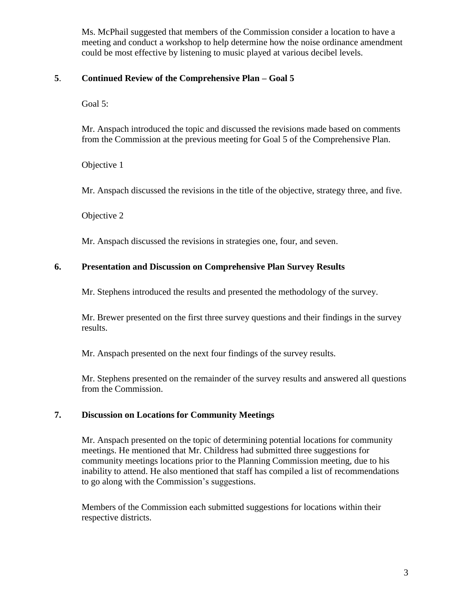Ms. McPhail suggested that members of the Commission consider a location to have a meeting and conduct a workshop to help determine how the noise ordinance amendment could be most effective by listening to music played at various decibel levels.

## **5**. **Continued Review of the Comprehensive Plan – Goal 5**

Goal 5:

Mr. Anspach introduced the topic and discussed the revisions made based on comments from the Commission at the previous meeting for Goal 5 of the Comprehensive Plan.

Objective 1

Mr. Anspach discussed the revisions in the title of the objective, strategy three, and five.

Objective 2

Mr. Anspach discussed the revisions in strategies one, four, and seven.

#### **6. Presentation and Discussion on Comprehensive Plan Survey Results**

Mr. Stephens introduced the results and presented the methodology of the survey.

Mr. Brewer presented on the first three survey questions and their findings in the survey results.

Mr. Anspach presented on the next four findings of the survey results.

Mr. Stephens presented on the remainder of the survey results and answered all questions from the Commission.

## **7. Discussion on Locations for Community Meetings**

Mr. Anspach presented on the topic of determining potential locations for community meetings. He mentioned that Mr. Childress had submitted three suggestions for community meetings locations prior to the Planning Commission meeting, due to his inability to attend. He also mentioned that staff has compiled a list of recommendations to go along with the Commission's suggestions.

Members of the Commission each submitted suggestions for locations within their respective districts.